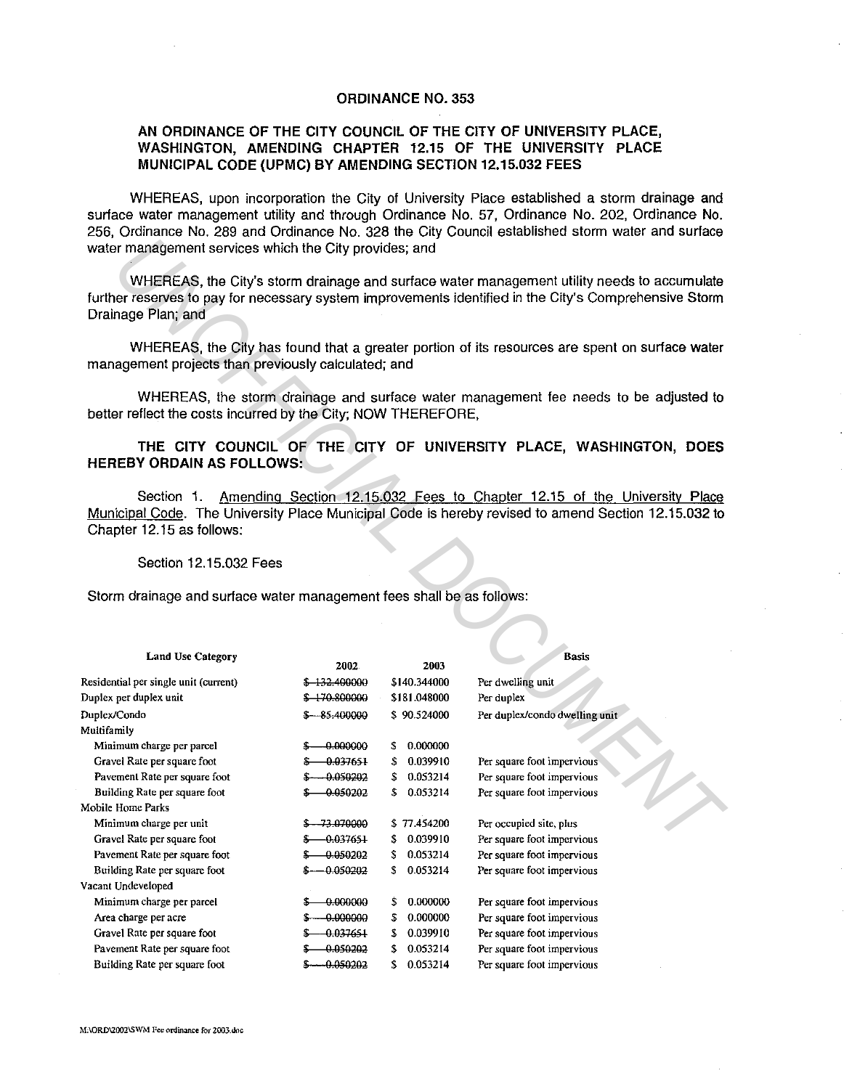## ORDINANCE NO. 353

## AN ORDINANCE OF THE CITY COUNCIL OF THE CITY OF UNIVERSITY PLACE, WASHINGTON, AMENDING CHAPTER 12.15 OF THE UNIVERSITY PLACE MUNICIPAL CODE (UPMC) BY AMENDING SECTION 12.15.032 FEES

WHEREAS, upon incorporation the City of University Place established a storm drainage and surface water management utility and through Ordinance No. 57, Ordinance No. 202, Ordinance No. 256, Ordinance No. 289 and Ordinance No. 328 the City Council established storm water and surface water management services which the City provides; and

## THE CITY COUNCIL OF THE CITY OF UNIVERSITY PLACE, WASHINGTON, DOES HEREBY ORDAIN AS FOLLOWS:

## Section 12.15.032 Fees

| water management services which the City provides; and                                                                                                                                                                      |                  |                 |                                |  |  |  |  |
|-----------------------------------------------------------------------------------------------------------------------------------------------------------------------------------------------------------------------------|------------------|-----------------|--------------------------------|--|--|--|--|
| WHEREAS, the City's storm drainage and surface water management utility needs to accumulate<br>further reserves to pay for necessary system improvements identified in the City's Comprehensive Storm<br>Drainage Plan; and |                  |                 |                                |  |  |  |  |
| WHEREAS, the City has found that a greater portion of its resources are spent on surface water<br>management projects than previously calculated; and                                                                       |                  |                 |                                |  |  |  |  |
| WHEREAS, the storm drainage and surface water management fee needs to be adjusted to<br>better reflect the costs incurred by the City; NOW THEREFORE,                                                                       |                  |                 |                                |  |  |  |  |
| THE CITY COUNCIL OF THE CITY OF UNIVERSITY PLACE, WASHINGTON, DOES<br><b>HEREBY ORDAIN AS FOLLOWS:</b>                                                                                                                      |                  |                 |                                |  |  |  |  |
| Amending Section 12.15.032 Fees to Chapter 12.15 of the University Place<br>Section 1.<br>Municipal Code. The University Place Municipal Code is hereby revised to amend Section 12.15.032 to<br>Chapter 12.15 as follows:  |                  |                 |                                |  |  |  |  |
| Section 12.15.032 Fees                                                                                                                                                                                                      |                  |                 |                                |  |  |  |  |
| Storm drainage and surface water management fees shall be as follows:<br><b>Land Use Category</b>                                                                                                                           | 2002             | 2003            | <b>Basis</b>                   |  |  |  |  |
| Residential per single unit (current)                                                                                                                                                                                       | \$ 132.400000    | \$140.344000    | Per dwelling unit              |  |  |  |  |
| Duplex per duplex unit                                                                                                                                                                                                      | \$ 170.800000    | \$181.048000    | Per duplex                     |  |  |  |  |
| Duplex/Condo                                                                                                                                                                                                                | $$-.85,400000$   | \$90.524000     | Per duplex/condo dwelling unit |  |  |  |  |
| Multifamily<br>Minimum charge per parcel                                                                                                                                                                                    | $$-.000000$      | 0.000000        |                                |  |  |  |  |
| Gravel Rate per square foot                                                                                                                                                                                                 | $$-.0.037651$    | 0.039910<br>\$. | Per square foot impervious     |  |  |  |  |
| Pavement Rate per square foot                                                                                                                                                                                               | $$-.0.050202$    | 0.053214<br>S.  | Per square foot impervious     |  |  |  |  |
| Building Rate per square foot                                                                                                                                                                                               | $$-.0.050202$    | 0.053214<br>s.  | Per square foot impervious     |  |  |  |  |
| Mobile Home Parks                                                                                                                                                                                                           |                  |                 |                                |  |  |  |  |
| Minimum charge per unit                                                                                                                                                                                                     | \$ - 73.070000   | \$77.454200     | Per occupied site, plus        |  |  |  |  |
| Gravel Rate per square foot                                                                                                                                                                                                 | $$-.0.037651$    | \$ 0.039910     | Per square foot impervious     |  |  |  |  |
| Pavement Rate per square foot                                                                                                                                                                                               | 0.050202<br>÷    | 0.053214<br>Φ   | Per square foot impervious     |  |  |  |  |
| Building Rate per square foot                                                                                                                                                                                               | $$-.0.050202$    | \$<br>0.053214  | Per square foot impervious     |  |  |  |  |
| Vacant Undeveloped                                                                                                                                                                                                          |                  |                 |                                |  |  |  |  |
| Minimum charge per parcel                                                                                                                                                                                                   | $-0.000000$<br>S | 0.000000<br>\$  | Per square foot impervious     |  |  |  |  |
| Area charge per acre                                                                                                                                                                                                        | -0.000000<br>S-  | 0.000000<br>\$  | Per square foot impervious     |  |  |  |  |
| Gravel Rate per square foot                                                                                                                                                                                                 | -0.037651<br>\$  | 0.039910<br>\$  | Per square foot impervious     |  |  |  |  |
| Pavement Rate per square foot                                                                                                                                                                                               | 0.050202<br>S    | 0.053214<br>\$  | Per square foot impervious     |  |  |  |  |
| Building Rate per square foot                                                                                                                                                                                               | $$-.0.050202$    | 0.053214<br>\$. | Per square foot impervious     |  |  |  |  |